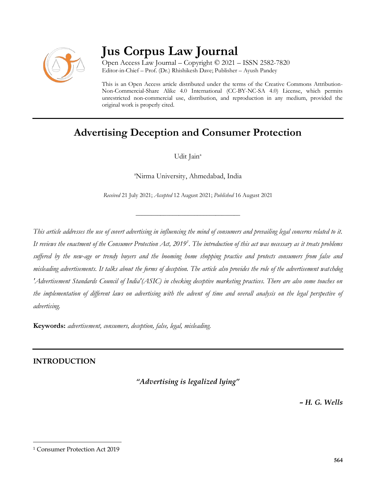

# **Jus Corpus Law Journal**

Open Access Law Journal – Copyright © 2021 – ISSN 2582-7820 Editor-in-Chief – Prof. (Dr.) Rhishikesh Dave; Publisher – Ayush Pandey

This is an Open Access article distributed under the terms of the Creative Commons Attribution-Non-Commercial-Share Alike 4.0 International (CC-BY-NC-SA 4.0) License, which permits unrestricted non-commercial use, distribution, and reproduction in any medium, provided the original work is properly cited.

## **Advertising Deception and Consumer Protection**

Udit Jain<sup>a</sup>

<sup>a</sup>Nirma University, Ahmedabad, India

*Received* 21 July 2021; *Accepted* 12 August 2021; *Published* 16 August 2021

\_\_\_\_\_\_\_\_\_\_\_\_\_\_\_\_\_\_\_\_\_\_\_\_\_\_\_\_\_\_\_\_\_\_

*This article addresses the use of covert advertising in influencing the mind of consumers and prevailing legal concerns related to it. It reviews the enactment of the Consumer Protection Act, 2019<sup>1</sup> . The introduction of this act was necessary as it treats problems suffered by the new-age or trendy buyers and the booming home shopping practice and protects consumers from false and misleading advertisements. It talks about the forms of deception. The article also provides the role of the advertisement watchdog 'Advertisement Standards Council of India'(ASIC) in checking deceptive marketing practices. There are also some touches on the implementation of different laws on advertising with the advent of time and overall analysis on the legal perspective of advertising.*

**Keywords:** *advertisement, consumers, deception, false, legal, misleading.*

### **INTRODUCTION**

*"Advertising is legalized lying"*

*– H. G. Wells*

<sup>1</sup> Consumer Protection Act 2019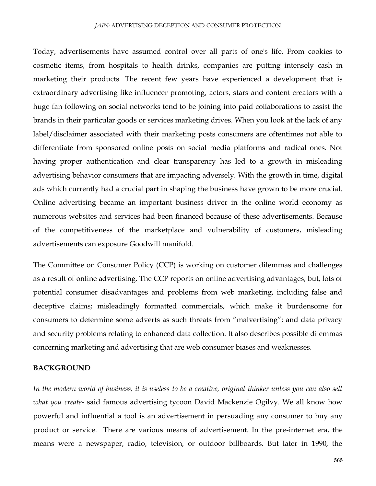#### *JAIN:* ADVERTISING DECEPTION AND CONSUMER PROTECTION

Today, advertisements have assumed control over all parts of one's life. From cookies to cosmetic items, from hospitals to health drinks, companies are putting intensely cash in marketing their products. The recent few years have experienced a development that is extraordinary advertising like influencer promoting, actors, stars and content creators with a huge fan following on social networks tend to be joining into paid collaborations to assist the brands in their particular goods or services marketing drives. When you look at the lack of any label/disclaimer associated with their marketing posts consumers are oftentimes not able to differentiate from sponsored online posts on social media platforms and radical ones. Not having proper authentication and clear transparency has led to a growth in misleading advertising behavior consumers that are impacting adversely. With the growth in time, digital ads which currently had a crucial part in shaping the business have grown to be more crucial. Online advertising became an important business driver in the online world economy as numerous websites and services had been financed because of these advertisements. Because of the competitiveness of the marketplace and vulnerability of customers, misleading advertisements can exposure Goodwill manifold.

The Committee on Consumer Policy (CCP) is working on customer dilemmas and challenges as a result of online advertising. The CCP reports on online advertising advantages, but, lots of potential consumer disadvantages and problems from web marketing, including false and deceptive claims; misleadingly formatted commercials, which make it burdensome for consumers to determine some adverts as such threats from "malvertising"; and data privacy and security problems relating to enhanced data collection. It also describes possible dilemmas concerning marketing and advertising that are web consumer biases and weaknesses.

#### **BACKGROUND**

*In the modern world of business, it is useless to be a creative, original thinker unless you can also sell what you create*- said famous advertising tycoon David Mackenzie Ogilvy. We all know how powerful and influential a tool is an advertisement in persuading any consumer to buy any product or service. There are various means of advertisement. In the pre-internet era, the means were a newspaper, radio, television, or outdoor billboards. But later in 1990, the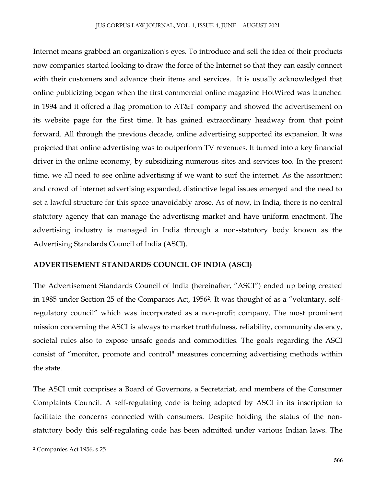Internet means grabbed an organization's eyes. To introduce and sell the idea of their products now companies started looking to draw the force of the Internet so that they can easily connect with their customers and advance their items and services. It is usually acknowledged that online publicizing began when the first commercial online magazine HotWired was launched in 1994 and it offered a flag promotion to AT&T company and showed the advertisement on its website page for the first time. It has gained extraordinary headway from that point forward. All through the previous decade, online advertising supported its expansion. It was projected that online advertising was to outperform TV revenues. It turned into a key financial driver in the online economy, by subsidizing numerous sites and services too. In the present time, we all need to see online advertising if we want to surf the internet. As the assortment and crowd of internet advertising expanded, distinctive legal issues emerged and the need to set a lawful structure for this space unavoidably arose. As of now, in India, there is no central statutory agency that can manage the advertising market and have uniform enactment. The advertising industry is managed in India through a non-statutory body known as the Advertising Standards Council of India (ASCI).

#### **ADVERTISEMENT STANDARDS COUNCIL OF INDIA (ASCI)**

The Advertisement Standards Council of India (hereinafter, "ASCI") ended up being created in 1985 under Section 25 of the Companies Act, 1956<sup>2</sup> . It was thought of as a "voluntary, selfregulatory council" which was incorporated as a non-profit company. The most prominent mission concerning the ASCI is always to market truthfulness, reliability, community decency, societal rules also to expose unsafe goods and commodities. The goals regarding the ASCI consist of "monitor, promote and control" measures concerning advertising methods within the state.

The ASCI unit comprises a Board of Governors, a Secretariat, and members of the Consumer Complaints Council. A self-regulating code is being adopted by ASCI in its inscription to facilitate the concerns connected with consumers. Despite holding the status of the nonstatutory body this self-regulating code has been admitted under various Indian laws. The

<sup>2</sup> Companies Act 1956, s 25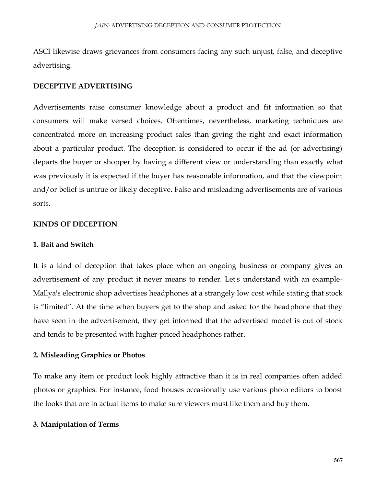ASCI likewise draws grievances from consumers facing any such unjust, false, and deceptive advertising.

#### **DECEPTIVE ADVERTISING**

Advertisements raise consumer knowledge about a product and fit information so that consumers will make versed choices. Oftentimes, nevertheless, marketing techniques are concentrated more on increasing product sales than giving the right and exact information about a particular product. The deception is considered to occur if the ad (or advertising) departs the buyer or shopper by having a different view or understanding than exactly what was previously it is expected if the buyer has reasonable information, and that the viewpoint and/or belief is untrue or likely deceptive. False and misleading advertisements are of various sorts.

#### **KINDS OF DECEPTION**

#### **1. Bait and Switch**

It is a kind of deception that takes place when an ongoing business or company gives an advertisement of any product it never means to render. Let's understand with an example-Mallya's electronic shop advertises headphones at a strangely low cost while stating that stock is "limited". At the time when buyers get to the shop and asked for the headphone that they have seen in the advertisement, they get informed that the advertised model is out of stock and tends to be presented with higher-priced headphones rather.

#### **2. Misleading Graphics or Photos**

To make any item or product look highly attractive than it is in real companies often added photos or graphics. For instance, food houses occasionally use various photo editors to boost the looks that are in actual items to make sure viewers must like them and buy them.

#### **3. Manipulation of Terms**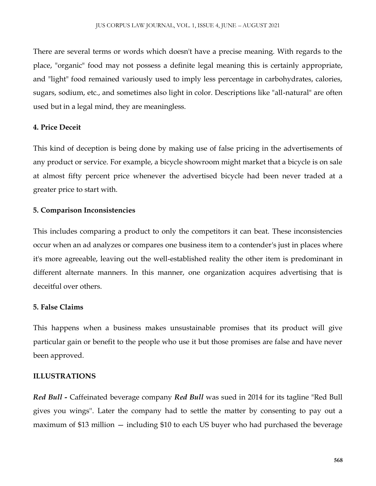There are several terms or words which doesn't have a precise meaning. With regards to the place, "organic" food may not possess a definite legal meaning this is certainly appropriate, and "light" food remained variously used to imply less percentage in carbohydrates, calories, sugars, sodium, etc., and sometimes also light in color. Descriptions like "all-natural" are often used but in a legal mind, they are meaningless.

#### **4. Price Deceit**

This kind of deception is being done by making use of false pricing in the advertisements of any product or service. For example, a bicycle showroom might market that a bicycle is on sale at almost fifty percent price whenever the advertised bicycle had been never traded at a greater price to start with.

#### **5. Comparison Inconsistencies**

This includes comparing a product to only the competitors it can beat. These inconsistencies occur when an ad analyzes or compares one business item to a contender's just in places where it's more agreeable, leaving out the well-established reality the other item is predominant in different alternate manners. In this manner, one organization acquires advertising that is deceitful over others.

#### **5. False Claims**

This happens when a business makes unsustainable promises that its product will give particular gain or benefit to the people who use it but those promises are false and have never been approved.

#### **ILLUSTRATIONS**

*Red Bull -* Caffeinated beverage company *Red Bull* was sued in 2014 for its tagline "Red Bull gives you wings''. Later the company had to settle the matter by consenting to pay out a maximum of \$13 million — including \$10 to each US buyer who had purchased the beverage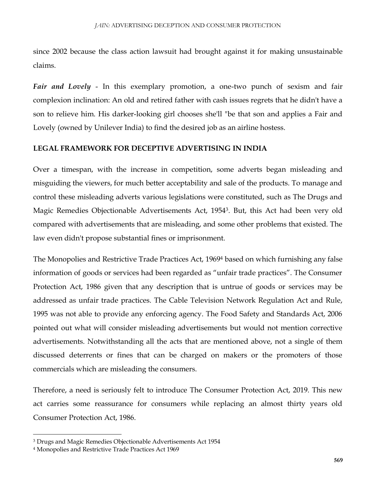since 2002 because the class action lawsuit had brought against it for making unsustainable claims.

*Fair and Lovely* - In this exemplary promotion, a one-two punch of sexism and fair complexion inclination: An old and retired father with cash issues regrets that he didn't have a son to relieve him. His darker-looking girl chooses she'll "be that son and applies a Fair and Lovely (owned by Unilever India) to find the desired job as an airline hostess.

#### **LEGAL FRAMEWORK FOR DECEPTIVE ADVERTISING IN INDIA**

Over a timespan, with the increase in competition, some adverts began misleading and misguiding the viewers, for much better acceptability and sale of the products. To manage and control these misleading adverts various legislations were constituted, such as The Drugs and Magic Remedies Objectionable Advertisements Act, 1954<sup>3</sup> . But, this Act had been very old compared with advertisements that are misleading, and some other problems that existed. The law even didn't propose substantial fines or imprisonment.

The Monopolies and Restrictive Trade Practices Act, 1969<sup>4</sup> based on which furnishing any false information of goods or services had been regarded as "unfair trade practices". The Consumer Protection Act, 1986 given that any description that is untrue of goods or services may be addressed as unfair trade practices. The Cable Television Network Regulation Act and Rule, 1995 was not able to provide any enforcing agency. The Food Safety and Standards Act, 2006 pointed out what will consider misleading advertisements but would not mention corrective advertisements. Notwithstanding all the acts that are mentioned above, not a single of them discussed deterrents or fines that can be charged on makers or the promoters of those commercials which are misleading the consumers.

Therefore, a need is seriously felt to introduce The Consumer Protection Act, 2019. This new act carries some reassurance for consumers while replacing an almost thirty years old Consumer Protection Act, 1986.

<sup>3</sup> Drugs and Magic Remedies Objectionable Advertisements Act 1954

<sup>4</sup> Monopolies and Restrictive Trade Practices Act 1969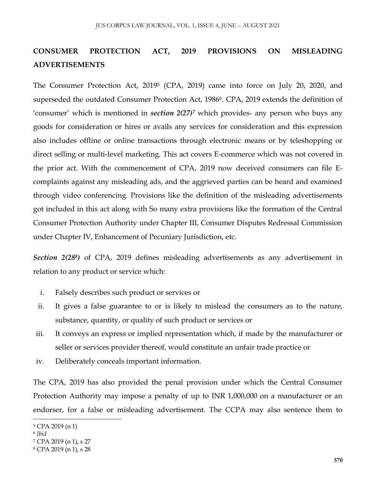## **CONSUMER PROTECTION ACT, 2019 PROVISIONS ON MISLEADING ADVERTISEMENTS**

The Consumer Protection Act, 2019<sup>5</sup> (CPA, 2019) came into force on July 20, 2020, and superseded the outdated Consumer Protection Act, 1986<sup>6</sup>. CPA, 2019 extends the definition of 'consumer' which is mentioned in *section 2(27)<sup>7</sup>* which provides- any person who buys any goods for consideration or hires or avails any services for consideration and this expression also includes offline or online transactions through electronic means or by teleshopping or direct selling or multi-level marketing. This act covers E-commerce which was not covered in the prior act. With the commencement of CPA, 2019 now deceived consumers can file Ecomplaints against any misleading ads, and the aggrieved parties can be heard and examined through video conferencing. Provisions like the definition of the misleading advertisements got included in this act along with So many extra provisions like the formation of the Central Consumer Protection Authority under Chapter III, Consumer Disputes Redressal Commission under Chapter IV, Enhancement of Pecuniary Jurisdiction, etc.

*Section 2(28<sup>8</sup> )* of CPA, 2019 defines misleading advertisements as any advertisement in relation to any product or service which:

- i. Falsely describes such product or services or
- ii. It gives a false guarantee to or is likely to mislead the consumers as to the nature, substance, quantity, or quality of such product or services or
- iii. It conveys an express or implied representation which, if made by the manufacturer or seller or services provider thereof, would constitute an unfair trade practice or
- iv. Deliberately conceals important information.

The CPA, 2019 has also provided the penal provision under which the Central Consumer Protection Authority may impose a penalty of up to INR 1,000,000 on a manufacturer or an endorser, for a false or misleading advertisement. The CCPA may also sentence them to

<sup>5</sup> CPA 2019 (n 1)

<sup>6</sup> *Ibid*

<sup>7</sup> CPA 2019 (n 1), s 27

<sup>8</sup> CPA 2019 (n 1), s 28